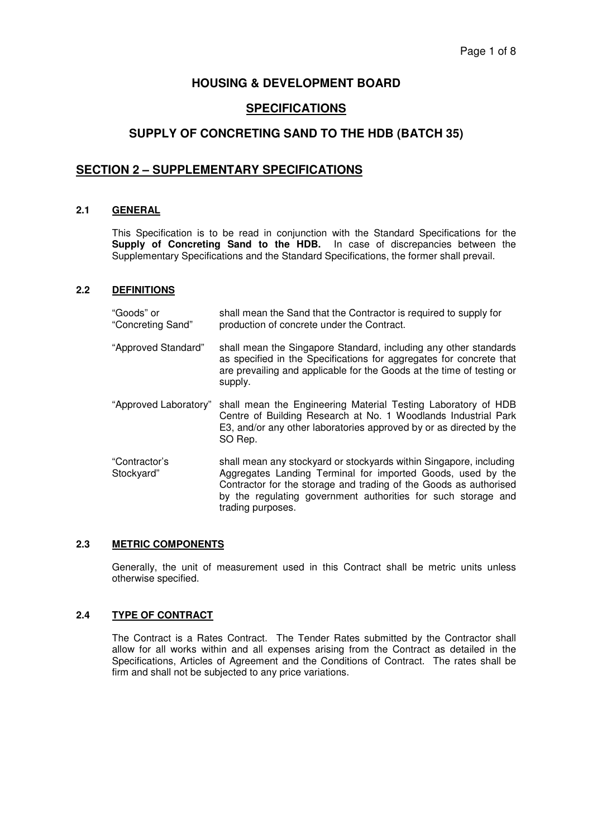# **HOUSING & DEVELOPMENT BOARD**

# **SPECIFICATIONS**

# **SUPPLY OF CONCRETING SAND TO THE HDB (BATCH 35)**

# **SECTION 2 – SUPPLEMENTARY SPECIFICATIONS**

#### **2.1 GENERAL**

This Specification is to be read in conjunction with the Standard Specifications for the **Supply of Concreting Sand to the HDB.** In case of discrepancies between the Supplementary Specifications and the Standard Specifications, the former shall prevail.

#### **2.2 DEFINITIONS**

| "Goods" or<br>"Concreting Sand" | shall mean the Sand that the Contractor is required to supply for<br>production of concrete under the Contract.                                                                                                                                                                              |
|---------------------------------|----------------------------------------------------------------------------------------------------------------------------------------------------------------------------------------------------------------------------------------------------------------------------------------------|
| "Approved Standard"             | shall mean the Singapore Standard, including any other standards<br>as specified in the Specifications for aggregates for concrete that<br>are prevailing and applicable for the Goods at the time of testing or<br>supply.                                                                  |
| "Approved Laboratory"           | shall mean the Engineering Material Testing Laboratory of HDB<br>Centre of Building Research at No. 1 Woodlands Industrial Park<br>E3, and/or any other laboratories approved by or as directed by the<br>SO Rep.                                                                            |
| "Contractor's<br>Stockyard"     | shall mean any stockyard or stockyards within Singapore, including<br>Aggregates Landing Terminal for imported Goods, used by the<br>Contractor for the storage and trading of the Goods as authorised<br>by the regulating government authorities for such storage and<br>trading purposes. |

#### **2.3 METRIC COMPONENTS**

Generally, the unit of measurement used in this Contract shall be metric units unless otherwise specified.

# **2.4 TYPE OF CONTRACT**

The Contract is a Rates Contract. The Tender Rates submitted by the Contractor shall allow for all works within and all expenses arising from the Contract as detailed in the Specifications, Articles of Agreement and the Conditions of Contract. The rates shall be firm and shall not be subjected to any price variations.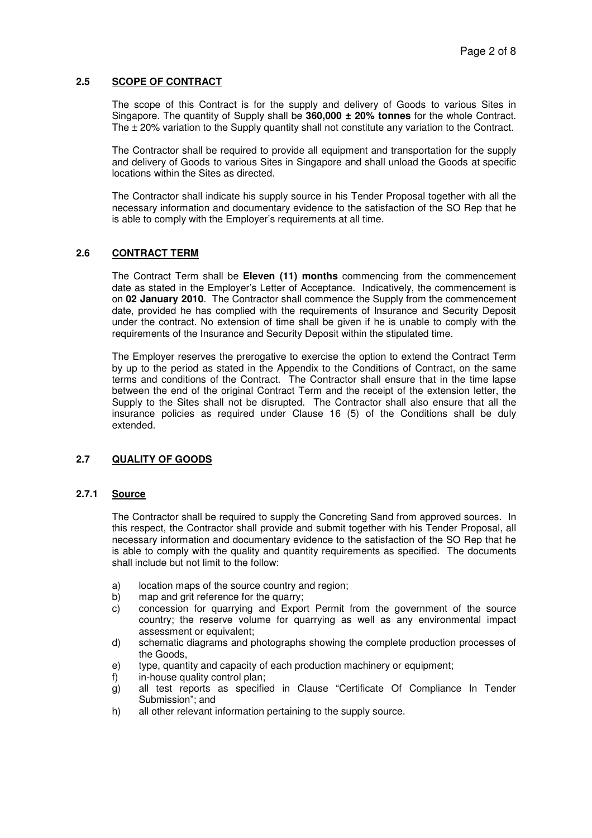#### **2.5 SCOPE OF CONTRACT**

The scope of this Contract is for the supply and delivery of Goods to various Sites in Singapore. The quantity of Supply shall be **360,000 ± 20% tonnes** for the whole Contract. The ± 20% variation to the Supply quantity shall not constitute any variation to the Contract.

The Contractor shall be required to provide all equipment and transportation for the supply and delivery of Goods to various Sites in Singapore and shall unload the Goods at specific locations within the Sites as directed.

The Contractor shall indicate his supply source in his Tender Proposal together with all the necessary information and documentary evidence to the satisfaction of the SO Rep that he is able to comply with the Employer's requirements at all time.

#### **2.6 CONTRACT TERM**

The Contract Term shall be **Eleven (11) months** commencing from the commencement date as stated in the Employer's Letter of Acceptance. Indicatively, the commencement is on **02 January 2010**. The Contractor shall commence the Supply from the commencement date, provided he has complied with the requirements of Insurance and Security Deposit under the contract. No extension of time shall be given if he is unable to comply with the requirements of the Insurance and Security Deposit within the stipulated time.

The Employer reserves the prerogative to exercise the option to extend the Contract Term by up to the period as stated in the Appendix to the Conditions of Contract, on the same terms and conditions of the Contract. The Contractor shall ensure that in the time lapse between the end of the original Contract Term and the receipt of the extension letter, the Supply to the Sites shall not be disrupted. The Contractor shall also ensure that all the insurance policies as required under Clause 16 (5) of the Conditions shall be duly extended.

# **2.7 QUALITY OF GOODS**

# **2.7.1 Source**

The Contractor shall be required to supply the Concreting Sand from approved sources. In this respect, the Contractor shall provide and submit together with his Tender Proposal, all necessary information and documentary evidence to the satisfaction of the SO Rep that he is able to comply with the quality and quantity requirements as specified. The documents shall include but not limit to the follow:

- a) location maps of the source country and region;
- b) map and grit reference for the quarry;
- c) concession for quarrying and Export Permit from the government of the source country; the reserve volume for quarrying as well as any environmental impact assessment or equivalent;
- d) schematic diagrams and photographs showing the complete production processes of the Goods,
- e) type, quantity and capacity of each production machinery or equipment;
- f) in-house quality control plan;
- g) all test reports as specified in Clause "Certificate Of Compliance In Tender Submission"; and
- h) all other relevant information pertaining to the supply source.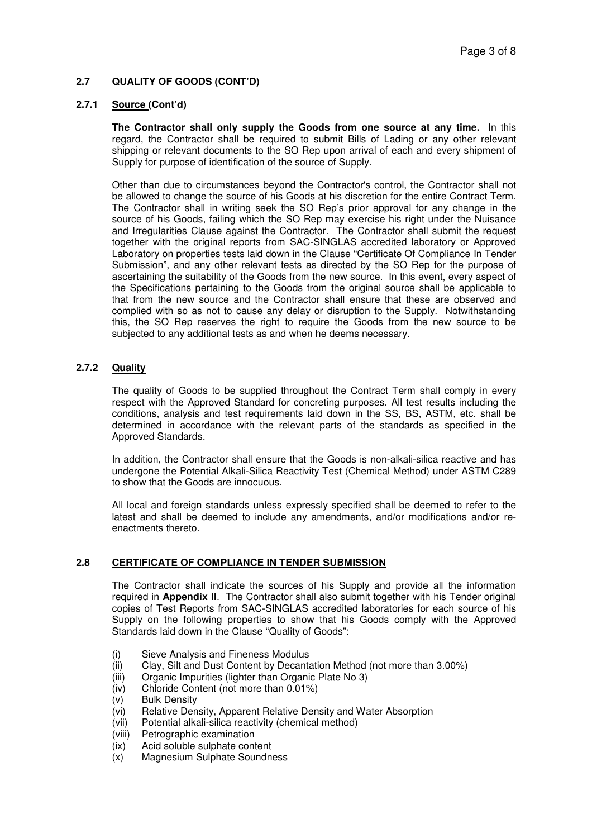# **2.7 QUALITY OF GOODS (CONT'D)**

# **2.7.1 Source (Cont'd)**

**The Contractor shall only supply the Goods from one source at any time.** In this regard, the Contractor shall be required to submit Bills of Lading or any other relevant shipping or relevant documents to the SO Rep upon arrival of each and every shipment of Supply for purpose of identification of the source of Supply.

Other than due to circumstances beyond the Contractor's control, the Contractor shall not be allowed to change the source of his Goods at his discretion for the entire Contract Term. The Contractor shall in writing seek the SO Rep's prior approval for any change in the source of his Goods, failing which the SO Rep may exercise his right under the Nuisance and Irregularities Clause against the Contractor. The Contractor shall submit the request together with the original reports from SAC-SINGLAS accredited laboratory or Approved Laboratory on properties tests laid down in the Clause "Certificate Of Compliance In Tender Submission", and any other relevant tests as directed by the SO Rep for the purpose of ascertaining the suitability of the Goods from the new source. In this event, every aspect of the Specifications pertaining to the Goods from the original source shall be applicable to that from the new source and the Contractor shall ensure that these are observed and complied with so as not to cause any delay or disruption to the Supply. Notwithstanding this, the SO Rep reserves the right to require the Goods from the new source to be subjected to any additional tests as and when he deems necessary.

# **2.7.2 Quality**

The quality of Goods to be supplied throughout the Contract Term shall comply in every respect with the Approved Standard for concreting purposes. All test results including the conditions, analysis and test requirements laid down in the SS, BS, ASTM, etc. shall be determined in accordance with the relevant parts of the standards as specified in the Approved Standards.

In addition, the Contractor shall ensure that the Goods is non-alkali-silica reactive and has undergone the Potential Alkali-Silica Reactivity Test (Chemical Method) under ASTM C289 to show that the Goods are innocuous.

All local and foreign standards unless expressly specified shall be deemed to refer to the latest and shall be deemed to include any amendments, and/or modifications and/or reenactments thereto.

# **2.8 CERTIFICATE OF COMPLIANCE IN TENDER SUBMISSION**

The Contractor shall indicate the sources of his Supply and provide all the information required in **Appendix II**. The Contractor shall also submit together with his Tender original copies of Test Reports from SAC-SINGLAS accredited laboratories for each source of his Supply on the following properties to show that his Goods comply with the Approved Standards laid down in the Clause "Quality of Goods":

- (i) Sieve Analysis and Fineness Modulus
- (ii) Clay, Silt and Dust Content by Decantation Method (not more than 3.00%)
- (iii) Organic Impurities (lighter than Organic Plate No 3)
- (iv) Chloride Content (not more than 0.01%)
- (v) Bulk Density
- (vi) Relative Density, Apparent Relative Density and Water Absorption
- (vii) Potential alkali-silica reactivity (chemical method)
- (viii) Petrographic examination
- (ix) Acid soluble sulphate content
- (x) Magnesium Sulphate Soundness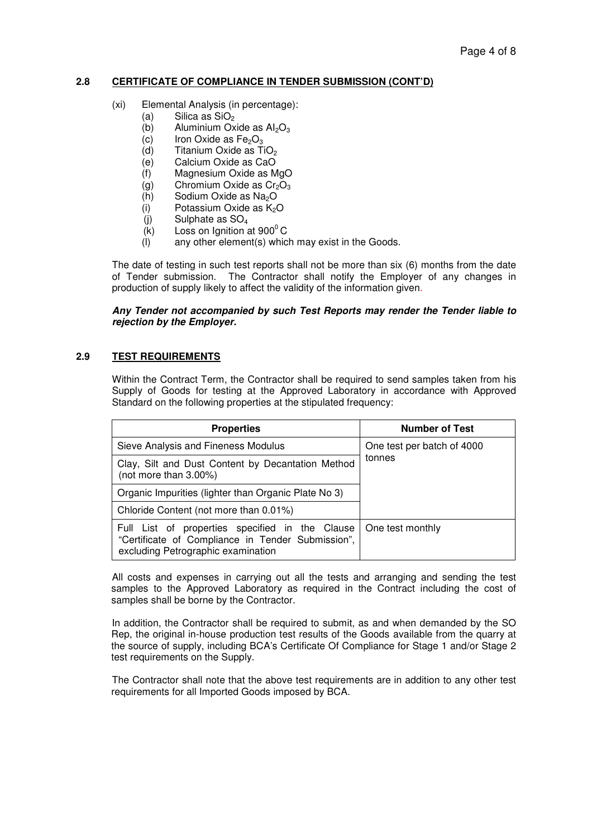# **2.8 CERTIFICATE OF COMPLIANCE IN TENDER SUBMISSION (CONT'D)**

- (xi) Elemental Analysis (in percentage):
	- (a) Silica as  $SiO<sub>2</sub>$
	- $(b)$  Aluminium Oxide as  $Al_2O_3$
	- (c) Iron Oxide as  $Fe<sub>2</sub>O<sub>3</sub>$ <br>(d) Titanium Oxide as T
	- Titanium Oxide as TiO<sub>2</sub>
	- (e) Calcium Oxide as CaO
	- (f) Magnesium Oxide as MgO
	- (g) Chromium Oxide as  $Cr<sub>2</sub>O<sub>3</sub>$
	- (h) Sodium Oxide as  $Na<sub>2</sub>O$
	- $(i)$  Potassium Oxide as  $K<sub>2</sub>O$
	- $(i)$  Sulphate as  $SO<sub>4</sub>$
	- $(K)$  Loss on Ignition at 900 $^{\circ}$ C
	- (l) any other element(s) which may exist in the Goods.

The date of testing in such test reports shall not be more than six (6) months from the date of Tender submission. The Contractor shall notify the Employer of any changes in production of supply likely to affect the validity of the information given.

#### *Any Tender not accompanied by such Test Reports may render the Tender liable to rejection by the Employer.*

# **2.9 TEST REQUIREMENTS**

Within the Contract Term, the Contractor shall be required to send samples taken from his Supply of Goods for testing at the Approved Laboratory in accordance with Approved Standard on the following properties at the stipulated frequency:

| <b>Properties</b>                                                                                                                          | <b>Number of Test</b>                |
|--------------------------------------------------------------------------------------------------------------------------------------------|--------------------------------------|
| Sieve Analysis and Fineness Modulus                                                                                                        | One test per batch of 4000<br>tonnes |
| Clay, Silt and Dust Content by Decantation Method<br>(not more than 3.00%)                                                                 |                                      |
| Organic Impurities (lighter than Organic Plate No 3)                                                                                       |                                      |
| Chloride Content (not more than 0.01%)                                                                                                     |                                      |
| Full List of properties specified in the Clause<br>"Certificate of Compliance in Tender Submission",<br>excluding Petrographic examination | One test monthly                     |

All costs and expenses in carrying out all the tests and arranging and sending the test samples to the Approved Laboratory as required in the Contract including the cost of samples shall be borne by the Contractor.

In addition, the Contractor shall be required to submit, as and when demanded by the SO Rep, the original in-house production test results of the Goods available from the quarry at the source of supply, including BCA's Certificate Of Compliance for Stage 1 and/or Stage 2 test requirements on the Supply.

The Contractor shall note that the above test requirements are in addition to any other test requirements for all Imported Goods imposed by BCA.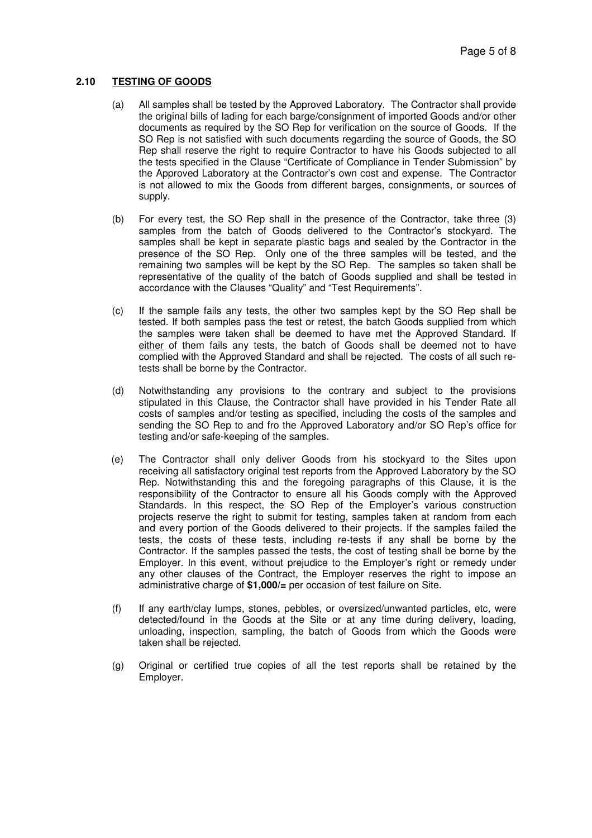# **2.10 TESTING OF GOODS**

- (a) All samples shall be tested by the Approved Laboratory. The Contractor shall provide the original bills of lading for each barge/consignment of imported Goods and/or other documents as required by the SO Rep for verification on the source of Goods. If the SO Rep is not satisfied with such documents regarding the source of Goods, the SO Rep shall reserve the right to require Contractor to have his Goods subjected to all the tests specified in the Clause "Certificate of Compliance in Tender Submission" by the Approved Laboratory at the Contractor's own cost and expense. The Contractor is not allowed to mix the Goods from different barges, consignments, or sources of supply.
- (b) For every test, the SO Rep shall in the presence of the Contractor, take three (3) samples from the batch of Goods delivered to the Contractor's stockyard. The samples shall be kept in separate plastic bags and sealed by the Contractor in the presence of the SO Rep. Only one of the three samples will be tested, and the remaining two samples will be kept by the SO Rep. The samples so taken shall be representative of the quality of the batch of Goods supplied and shall be tested in accordance with the Clauses "Quality" and "Test Requirements".
- (c) If the sample fails any tests, the other two samples kept by the SO Rep shall be tested. If both samples pass the test or retest, the batch Goods supplied from which the samples were taken shall be deemed to have met the Approved Standard. If either of them fails any tests, the batch of Goods shall be deemed not to have complied with the Approved Standard and shall be rejected. The costs of all such retests shall be borne by the Contractor.
- (d) Notwithstanding any provisions to the contrary and subject to the provisions stipulated in this Clause, the Contractor shall have provided in his Tender Rate all costs of samples and/or testing as specified, including the costs of the samples and sending the SO Rep to and fro the Approved Laboratory and/or SO Rep's office for testing and/or safe-keeping of the samples.
- (e) The Contractor shall only deliver Goods from his stockyard to the Sites upon receiving all satisfactory original test reports from the Approved Laboratory by the SO Rep. Notwithstanding this and the foregoing paragraphs of this Clause, it is the responsibility of the Contractor to ensure all his Goods comply with the Approved Standards. In this respect, the SO Rep of the Employer's various construction projects reserve the right to submit for testing, samples taken at random from each and every portion of the Goods delivered to their projects. If the samples failed the tests, the costs of these tests, including re-tests if any shall be borne by the Contractor. If the samples passed the tests, the cost of testing shall be borne by the Employer. In this event, without prejudice to the Employer's right or remedy under any other clauses of the Contract, the Employer reserves the right to impose an administrative charge of **\$1,000/=** per occasion of test failure on Site.
- (f) If any earth/clay lumps, stones, pebbles, or oversized/unwanted particles, etc, were detected/found in the Goods at the Site or at any time during delivery, loading, unloading, inspection, sampling, the batch of Goods from which the Goods were taken shall be rejected.
- (g) Original or certified true copies of all the test reports shall be retained by the Employer.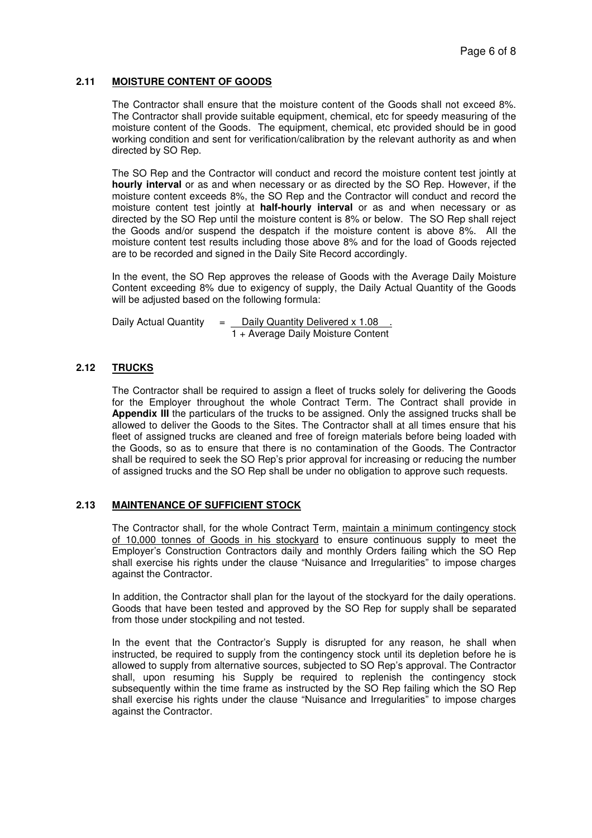# **2.11 MOISTURE CONTENT OF GOODS**

The Contractor shall ensure that the moisture content of the Goods shall not exceed 8%. The Contractor shall provide suitable equipment, chemical, etc for speedy measuring of the moisture content of the Goods. The equipment, chemical, etc provided should be in good working condition and sent for verification/calibration by the relevant authority as and when directed by SO Rep.

The SO Rep and the Contractor will conduct and record the moisture content test jointly at **hourly interval** or as and when necessary or as directed by the SO Rep. However, if the moisture content exceeds 8%, the SO Rep and the Contractor will conduct and record the moisture content test jointly at **half-hourly interval** or as and when necessary or as directed by the SO Rep until the moisture content is 8% or below. The SO Rep shall reject the Goods and/or suspend the despatch if the moisture content is above 8%. All the moisture content test results including those above 8% and for the load of Goods rejected are to be recorded and signed in the Daily Site Record accordingly.

In the event, the SO Rep approves the release of Goods with the Average Daily Moisture Content exceeding 8% due to exigency of supply, the Daily Actual Quantity of the Goods will be adjusted based on the following formula:

Daily Actual Quantity  $=$  Daily Quantity Delivered x 1.08 1 + Average Daily Moisture Content

# **2.12 TRUCKS**

The Contractor shall be required to assign a fleet of trucks solely for delivering the Goods for the Employer throughout the whole Contract Term. The Contract shall provide in **Appendix III** the particulars of the trucks to be assigned. Only the assigned trucks shall be allowed to deliver the Goods to the Sites. The Contractor shall at all times ensure that his fleet of assigned trucks are cleaned and free of foreign materials before being loaded with the Goods, so as to ensure that there is no contamination of the Goods. The Contractor shall be required to seek the SO Rep's prior approval for increasing or reducing the number of assigned trucks and the SO Rep shall be under no obligation to approve such requests.

#### **2.13 MAINTENANCE OF SUFFICIENT STOCK**

The Contractor shall, for the whole Contract Term, maintain a minimum contingency stock of 10,000 tonnes of Goods in his stockyard to ensure continuous supply to meet the Employer's Construction Contractors daily and monthly Orders failing which the SO Rep shall exercise his rights under the clause "Nuisance and Irregularities" to impose charges against the Contractor.

In addition, the Contractor shall plan for the layout of the stockyard for the daily operations. Goods that have been tested and approved by the SO Rep for supply shall be separated from those under stockpiling and not tested.

In the event that the Contractor's Supply is disrupted for any reason, he shall when instructed, be required to supply from the contingency stock until its depletion before he is allowed to supply from alternative sources, subjected to SO Rep's approval. The Contractor shall, upon resuming his Supply be required to replenish the contingency stock subsequently within the time frame as instructed by the SO Rep failing which the SO Rep shall exercise his rights under the clause "Nuisance and Irregularities" to impose charges against the Contractor.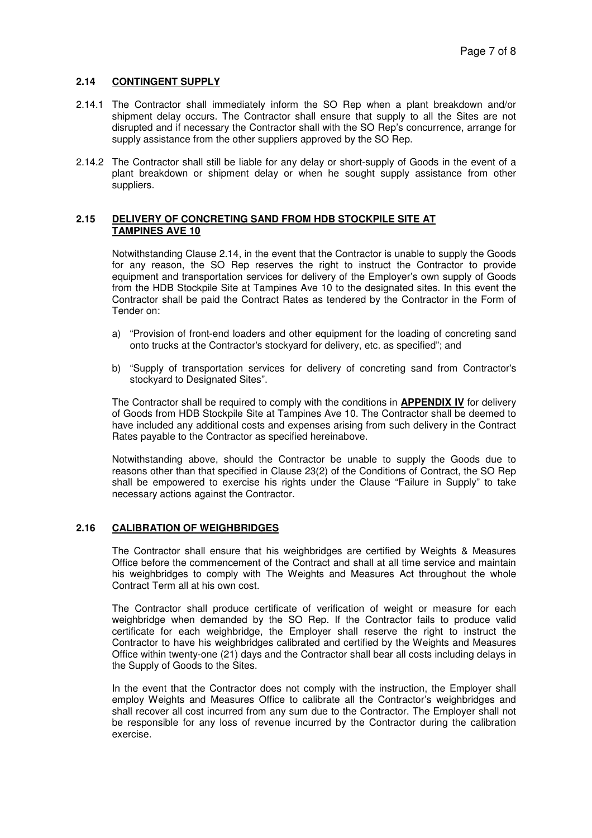# **2.14 CONTINGENT SUPPLY**

- 2.14.1 The Contractor shall immediately inform the SO Rep when a plant breakdown and/or shipment delay occurs. The Contractor shall ensure that supply to all the Sites are not disrupted and if necessary the Contractor shall with the SO Rep's concurrence, arrange for supply assistance from the other suppliers approved by the SO Rep.
- 2.14.2 The Contractor shall still be liable for any delay or short-supply of Goods in the event of a plant breakdown or shipment delay or when he sought supply assistance from other suppliers.

#### **2.15 DELIVERY OF CONCRETING SAND FROM HDB STOCKPILE SITE AT TAMPINES AVE 10**

Notwithstanding Clause 2.14, in the event that the Contractor is unable to supply the Goods for any reason, the SO Rep reserves the right to instruct the Contractor to provide equipment and transportation services for delivery of the Employer's own supply of Goods from the HDB Stockpile Site at Tampines Ave 10 to the designated sites. In this event the Contractor shall be paid the Contract Rates as tendered by the Contractor in the Form of Tender on:

- a) "Provision of front-end loaders and other equipment for the loading of concreting sand onto trucks at the Contractor's stockyard for delivery, etc. as specified"; and
- b) "Supply of transportation services for delivery of concreting sand from Contractor's stockyard to Designated Sites".

The Contractor shall be required to comply with the conditions in **APPENDIX IV** for delivery of Goods from HDB Stockpile Site at Tampines Ave 10. The Contractor shall be deemed to have included any additional costs and expenses arising from such delivery in the Contract Rates payable to the Contractor as specified hereinabove.

Notwithstanding above, should the Contractor be unable to supply the Goods due to reasons other than that specified in Clause 23(2) of the Conditions of Contract, the SO Rep shall be empowered to exercise his rights under the Clause "Failure in Supply" to take necessary actions against the Contractor.

#### **2.16 CALIBRATION OF WEIGHBRIDGES**

The Contractor shall ensure that his weighbridges are certified by Weights & Measures Office before the commencement of the Contract and shall at all time service and maintain his weighbridges to comply with The Weights and Measures Act throughout the whole Contract Term all at his own cost.

The Contractor shall produce certificate of verification of weight or measure for each weighbridge when demanded by the SO Rep. If the Contractor fails to produce valid certificate for each weighbridge, the Employer shall reserve the right to instruct the Contractor to have his weighbridges calibrated and certified by the Weights and Measures Office within twenty-one (21) days and the Contractor shall bear all costs including delays in the Supply of Goods to the Sites.

In the event that the Contractor does not comply with the instruction, the Employer shall employ Weights and Measures Office to calibrate all the Contractor's weighbridges and shall recover all cost incurred from any sum due to the Contractor. The Employer shall not be responsible for any loss of revenue incurred by the Contractor during the calibration exercise.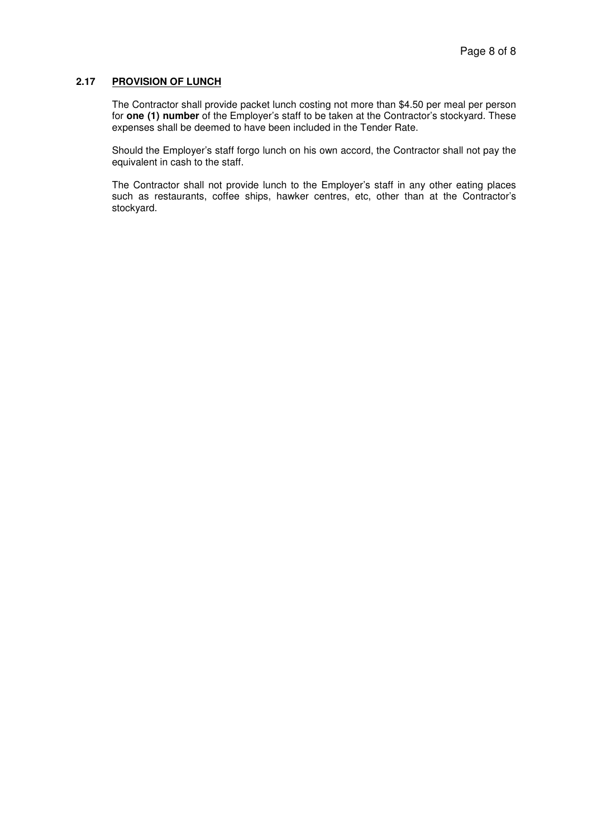#### **2.17 PROVISION OF LUNCH**

The Contractor shall provide packet lunch costing not more than \$4.50 per meal per person for **one (1) number** of the Employer's staff to be taken at the Contractor's stockyard. These expenses shall be deemed to have been included in the Tender Rate.

Should the Employer's staff forgo lunch on his own accord, the Contractor shall not pay the equivalent in cash to the staff.

The Contractor shall not provide lunch to the Employer's staff in any other eating places such as restaurants, coffee ships, hawker centres, etc, other than at the Contractor's stockyard.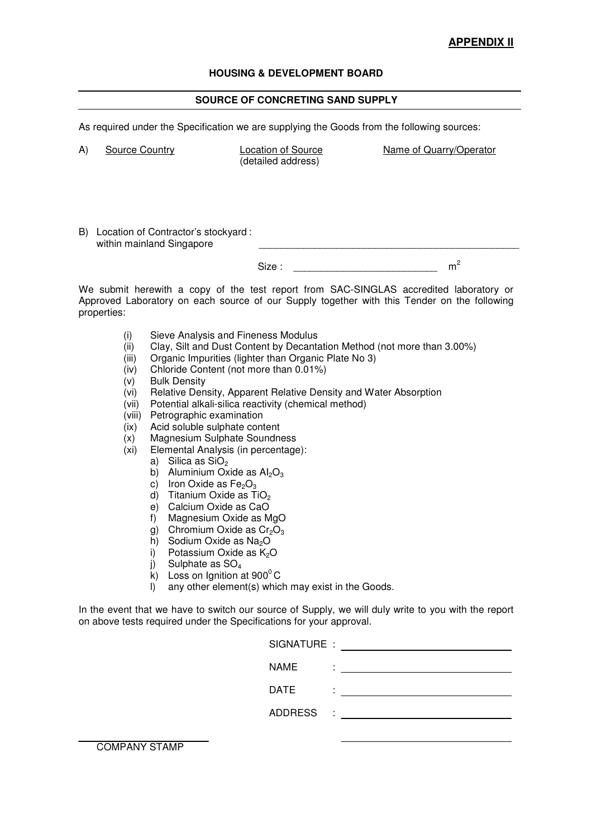# **APPENDIX II**

# **HOUSING & DEVELOPMENT BOARD**

# **SOURCE OF CONCRETING SAND SUPPLY**

As required under the Specification we are supplying the Goods from the following sources:

| A)<br>Source Country                                                                                                                                                                                 |                                                                                                                                                                                                                                                                                                                                                                                                                                                                                                                                                                                                       | Location of Source<br>(detailed address)                                                                                                                                                                                                                                                                                                                                                           | Name of Quarry/Operator |  |
|------------------------------------------------------------------------------------------------------------------------------------------------------------------------------------------------------|-------------------------------------------------------------------------------------------------------------------------------------------------------------------------------------------------------------------------------------------------------------------------------------------------------------------------------------------------------------------------------------------------------------------------------------------------------------------------------------------------------------------------------------------------------------------------------------------------------|----------------------------------------------------------------------------------------------------------------------------------------------------------------------------------------------------------------------------------------------------------------------------------------------------------------------------------------------------------------------------------------------------|-------------------------|--|
|                                                                                                                                                                                                      | B) Location of Contractor's stockyard:                                                                                                                                                                                                                                                                                                                                                                                                                                                                                                                                                                |                                                                                                                                                                                                                                                                                                                                                                                                    |                         |  |
|                                                                                                                                                                                                      | within mainland Singapore                                                                                                                                                                                                                                                                                                                                                                                                                                                                                                                                                                             |                                                                                                                                                                                                                                                                                                                                                                                                    |                         |  |
|                                                                                                                                                                                                      |                                                                                                                                                                                                                                                                                                                                                                                                                                                                                                                                                                                                       | Size :                                                                                                                                                                                                                                                                                                                                                                                             | m <sup>2</sup>          |  |
| We submit herewith a copy of the test report from SAC-SINGLAS accredited laboratory or<br>Approved Laboratory on each source of our Supply together with this Tender on the following<br>properties: |                                                                                                                                                                                                                                                                                                                                                                                                                                                                                                                                                                                                       |                                                                                                                                                                                                                                                                                                                                                                                                    |                         |  |
| (i)<br>(ii)<br>(iii)<br>(iv)<br>(v)<br>(vi)<br>(vii)<br>(viii)<br>(ix)<br>(x)<br>(xi)                                                                                                                | <b>Bulk Density</b><br>Petrographic examination<br>Acid soluble sulphate content<br>Magnesium Sulphate Soundness<br>Elemental Analysis (in percentage):<br>Silica as $SiO2$<br>a)<br>Aluminium Oxide as $Al_2O_3$<br>b)<br>c) Iron Oxide as $Fe2O3$<br>Titanium Oxide as TiO <sub>2</sub><br>d)<br>Calcium Oxide as CaO<br>e).<br>Magnesium Oxide as MgO<br>f)<br>Chromium Oxide as $Cr2O3$<br>g)<br>Sodium Oxide as Na <sub>2</sub> O<br>h)<br>Potassium Oxide as K <sub>2</sub> O<br>i)<br>Sulphate as SO <sub>4</sub><br>j)<br>Loss on Ignition at $900^{\circ}$ C<br>$\mathsf{k}$<br>$\mathsf{D}$ | Sieve Analysis and Fineness Modulus<br>Clay, Silt and Dust Content by Decantation Method (not more than 3.00%)<br>Organic Impurities (lighter than Organic Plate No 3)<br>Chloride Content (not more than 0.01%)<br>Relative Density, Apparent Relative Density and Water Absorption<br>Potential alkali-silica reactivity (chemical method)<br>any other element(s) which may exist in the Goods. |                         |  |
| In the event that we have to switch our source of Supply, we will duly write to you with the report<br>on above tests required under the Specifications for your approval.                           |                                                                                                                                                                                                                                                                                                                                                                                                                                                                                                                                                                                                       |                                                                                                                                                                                                                                                                                                                                                                                                    |                         |  |
|                                                                                                                                                                                                      |                                                                                                                                                                                                                                                                                                                                                                                                                                                                                                                                                                                                       | $CICMATHDE$ .                                                                                                                                                                                                                                                                                                                                                                                      |                         |  |

| SIGNATURE :    |        |  |
|----------------|--------|--|
| <b>NAME</b>    | ٠      |  |
| <b>DATE</b>    |        |  |
| <b>ADDRESS</b> | ٠<br>٠ |  |
|                |        |  |

COMPANY STAMP